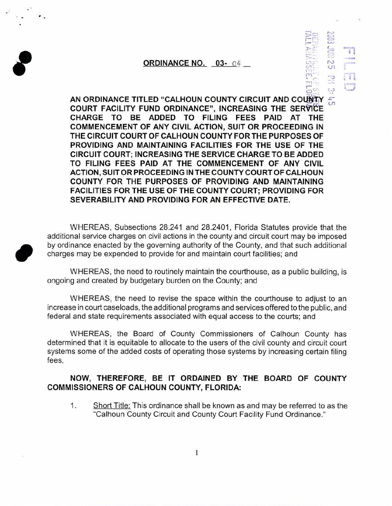## ORDINANCE NO.  $03 - 0.4$

 $\frac{1}{2}$  $\Xi$   $\Xi$  $\frac{1}{\sqrt{2}}$  :  $\frac{1}{\sqrt{2}}$ 

 $D$  :  $\sim$  $\Xi$   $\Xi$  $~\cdot$  $\circ$   $\sim$   $\sim$  $\frac{m_1}{m_1}$  cn  $\frac{1}{\sqrt{2}}$  --  $\frac{1}{\sqrt{2}}$  --  $\frac{1}{\sqrt{2}}$  --  $\frac{1}{\sqrt{2}}$  --  $\frac{1}{\sqrt{2}}$  --  $\frac{1}{\sqrt{2}}$  $\circ$   $\circ$ 

*I* 

AN ORDINANCE TITLED "CALHOUN COUNTY CIRCUIT AND COUNTY COURT FACILITY FUND ORDINANCE", INCREASING THE SERVICE CHARGE TO BE ADDED TO FILING FEES PAID AT THE COMMENCEMENT OF ANY CIVIL ACTION, SUIT OR PROCEEDING IN THE CIRCUIT COURT OF CALHOUN COUNTY FOR THE PURPOSES OF PROVIDING AND MAINTAINING FACILITIES FOR THE USE OF THE CIRCUIT COURT; INCREASING THE SERVICE CHARGE TO BE ADDED TO FILING FEES PAID AT THE COMMENCEMENT OF ANY CIVIL ACTION, SUIT OR PROCEEDING IN THE COUNTY COURT OF CALHOUN COUNTY FOR THE PURPOSES OF PROVIDING AND MAINTAINING FACILITIES FOR THE USE OF THE COUNTY COURT; PROVIDING FOR SEVERABILITY AND PROVIDING FOR AN EFFECTIVE DATE.

WHEREAS, Subsections 28.241 and 28.2401 , Florida Statutes provide that the additional service charges on civil actions in the county and circuit court may be imposed by ordinance enacted by the governing authority of the County, and that such additional charges may be expended to provide for and maintain court facilities; and

WHEREAS, the need to routinely maintain the courthouse, as a public building, is ongoing and created by budgetary burden on the County; and

WHEREAS, the need to revise the space within the courthouse to adjust to an increase in court caseloads, the additional programs and services offered to the public, and federal and state requirements associated with equal access to the courts; and

WHEREAS, the Board of County Commissioners of Calhoun County has determined that it is equitable to allocate to the users of the civil county and circuit court systems some of the added costs of operating those systems by increasing certain filing fees,

## NOW, THEREFORE, BE IT ORDAINED BY THE BOARD OF COUNTY COMMISSIONERS OF CALHOUN COUNTY, FLORIDA:

1. Short Title: This ordinance shall be known as and may be referred to as the "Calhoun County Circuit and County Court Facility Fund Ordinance."

 $\overline{1}$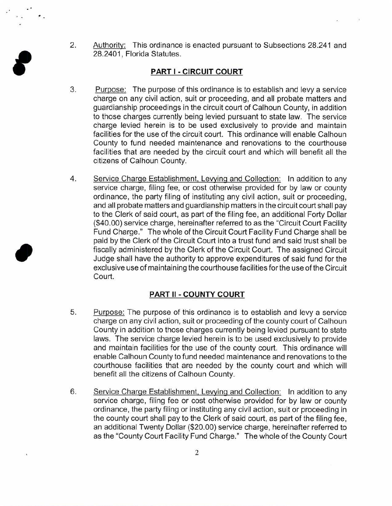2. Authority: This ordinance is enacted pursuant to Subsections 28.241 and 28.2401, Florida Statutes.

## **PART I -CIRCUIT COURT**

f

- 3. Purpose: The purpose of this ordinance is to establish and levy a service charge on any civil action, suit or proceeding, and all probate matters and guardianship proceedings in the circuit court of Calhoun County, in addition to those charges currently being levied pursuant to state law. The service charge levied herein is to be used exclusively to provide and maintain facilities for the use of the circuit court. This ordinance will enable Calhoun County to fund needed maintenance and renovations to the courthouse facilities that are needed by the circuit court and which will benefit all the citizens of Calhoun County.
- 4. Service Charge Establishment, Levying and Collection: In addition to any service charge, filing fee, or cost otherwise provided for by law or county ordinance, the party filing of instituting any civil action, suit or proceeding, and all probate matters and guardianship matters in the circuit court shall pay to the Clerk of said court, as part of the filing fee, an additional Forty Dollar (\$40.00) service charge, hereinafter referred to as the "Circuit Court Facility Fund Charge." The whole of the Circuit Court Facility Fund Charge shall be paid by the Clerk of the Circuit Court into a trust fund and said trust shall be fiscally administered by the Clerk of the Circuit Court. The assigned Circuit Judge shall have the authority to approve expenditures of said fund for the exclusive use of maintaining the courthouse facilities for the use of the Circuit Court.

## **PART II -COUNTY COURT**

- 5. Purpose: The purpose of this ordinance is to establish and levy a service charge on any civil action, suit or proceeding of the county court of Calhoun County in addition to those charges currently being levied pursuant to state laws. The service charge levied herein is to be used exclusively to provide and maintain facilities for the use of the county court. This ordinance will enable Calhoun County to fund needed maintenance and renovations to the courthouse facilities that are needed by the county court and which will benefit all the citizens of Calhoun County.
- 6. Service Charge Establishment. Levying and Collection: In addition to any service charge, filing fee or cost otherwise provided for by law or county ordinance, the party filing or instituting any civil action, suit or proceeding in the county court shall pay to the Clerk of said court, as part of the filing fee, an additional Twenty Dollar (\$20.00) service charge, hereinafter referred to as the "County Court Facility Fund Charge." The whole of the County Court